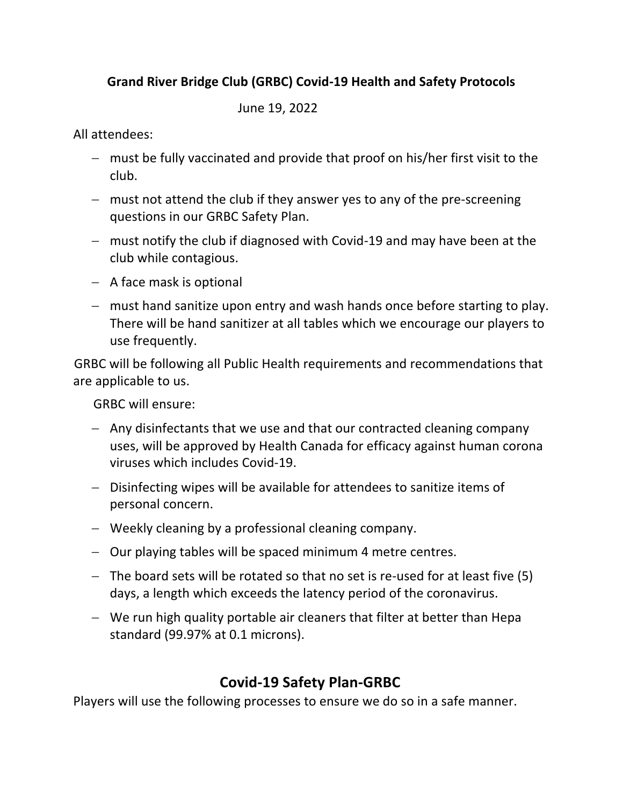# Grand River Bridge Club (GRBC) Covid-19 Health and Safety Protocols

June 19, 2022

All attendees:

- $-$  must be fully vaccinated and provide that proof on his/her first visit to the club.
- $-$  must not attend the club if they answer yes to any of the pre-screening questions in our GRBC Safety Plan.
- $-$  must notify the club if diagnosed with Covid-19 and may have been at the club while contagious.
- $-$  A face mask is optional
- $-$  must hand sanitize upon entry and wash hands once before starting to play. There will be hand sanitizer at all tables which we encourage our players to use frequently.

GRBC will be following all Public Health requirements and recommendations that are applicable to us.

GRBC will ensure:

- Any disinfectants that we use and that our contracted cleaning company uses, will be approved by Health Canada for efficacy against human corona viruses which includes Covid-19.
- Disinfecting wipes will be available for attendees to sanitize items of personal concern.
- Weekly cleaning by a professional cleaning company.
- $-$  Our playing tables will be spaced minimum 4 metre centres.
- $-$  The board sets will be rotated so that no set is re-used for at least five (5) days, a length which exceeds the latency period of the coronavirus.
- $-$  We run high quality portable air cleaners that filter at better than Hepa standard (99.97% at 0.1 microns).

# **Covid-19 Safety Plan-GRBC**

Players will use the following processes to ensure we do so in a safe manner.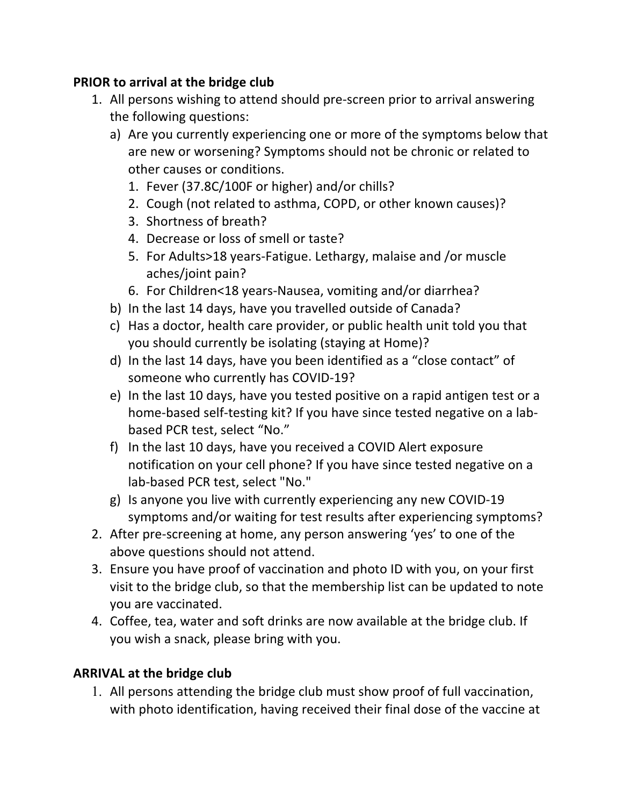## **PRIOR to arrival at the bridge club**

- 1. All persons wishing to attend should pre-screen prior to arrival answering the following questions:
	- a) Are you currently experiencing one or more of the symptoms below that are new or worsening? Symptoms should not be chronic or related to other causes or conditions.
		- 1. Fever (37.8C/100F or higher) and/or chills?
		- 2. Cough (not related to asthma, COPD, or other known causes)?
		- 3. Shortness of breath?
		- 4. Decrease or loss of smell or taste?
		- 5. For Adults>18 years-Fatigue. Lethargy, malaise and /or muscle aches/joint pain?
		- 6. For Children<18 years-Nausea, vomiting and/or diarrhea?
	- b) In the last 14 days, have you travelled outside of Canada?
	- c) Has a doctor, health care provider, or public health unit told you that you should currently be isolating (staying at Home)?
	- d) In the last 14 days, have you been identified as a "close contact" of someone who currently has COVID-19?
	- e) In the last 10 days, have you tested positive on a rapid antigen test or a home-based self-testing kit? If you have since tested negative on a labbased PCR test, select "No."
	- f) In the last 10 days, have you received a COVID Alert exposure notification on your cell phone? If you have since tested negative on a lab-based PCR test, select "No."
	- g) Is anyone you live with currently experiencing any new COVID-19 symptoms and/or waiting for test results after experiencing symptoms?
- 2. After pre-screening at home, any person answering 'yes' to one of the above questions should not attend.
- 3. Ensure you have proof of vaccination and photo ID with you, on your first visit to the bridge club, so that the membership list can be updated to note you are vaccinated.
- 4. Coffee, tea, water and soft drinks are now available at the bridge club. If you wish a snack, please bring with you.

## **ARRIVAL at the bridge club**

1. All persons attending the bridge club must show proof of full vaccination, with photo identification, having received their final dose of the vaccine at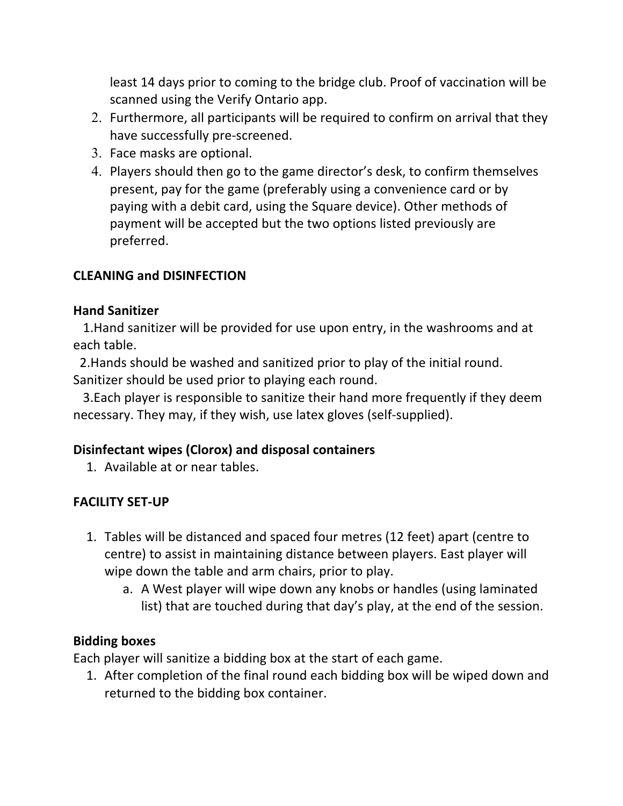least 14 days prior to coming to the bridge club. Proof of vaccination will be scanned using the Verify Ontario app.

- 2. Furthermore, all participants will be required to confirm on arrival that they have successfully pre-screened.
- 3. Face masks are optional.
- 4. Players should then go to the game director's desk, to confirm themselves present, pay for the game (preferably using a convenience card or by paying with a debit card, using the Square device). Other methods of payment will be accepted but the two options listed previously are preferred.

#### **CLEANING and DISINFECTION**

#### **Hand Sanitizer**

**1.Hand sanitizer will be provided for use upon entry, in the washrooms and at** each table.

2. Hands should be washed and sanitized prior to play of the initial round. Sanitizer should be used prior to playing each round.

3. Each player is responsible to sanitize their hand more frequently if they deem necessary. They may, if they wish, use latex gloves (self-supplied).

#### **Disinfectant wipes (Clorox) and disposal containers**

1. Available at or near tables.

#### **FACILITY SET-UP**

- 1. Tables will be distanced and spaced four metres (12 feet) apart (centre to centre) to assist in maintaining distance between players. East player will wipe down the table and arm chairs, prior to play.
	- a. A West player will wipe down any knobs or handles (using laminated list) that are touched during that day's play, at the end of the session.

#### **Bidding boxes**

Each player will sanitize a bidding box at the start of each game.

1. After completion of the final round each bidding box will be wiped down and returned to the bidding box container.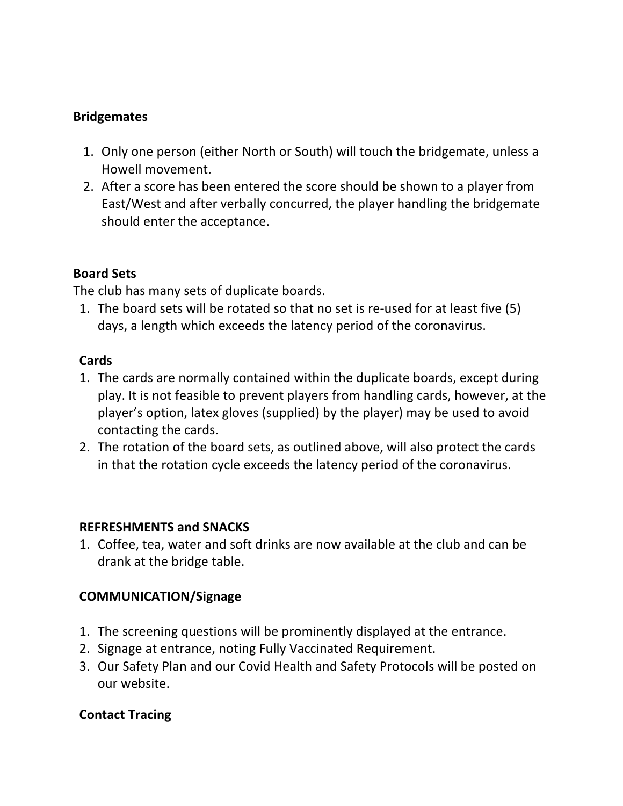## **Bridgemates**

- 1. Only one person (either North or South) will touch the bridgemate, unless a Howell movement.
- 2. After a score has been entered the score should be shown to a player from East/West and after verbally concurred, the player handling the bridgemate should enter the acceptance.

## **Board Sets**

The club has many sets of duplicate boards.

1. The board sets will be rotated so that no set is re-used for at least five (5) days, a length which exceeds the latency period of the coronavirus.

#### **Cards**

- 1. The cards are normally contained within the duplicate boards, except during play. It is not feasible to prevent players from handling cards, however, at the player's option, latex gloves (supplied) by the player) may be used to avoid contacting the cards.
- 2. The rotation of the board sets, as outlined above, will also protect the cards in that the rotation cycle exceeds the latency period of the coronavirus.

#### **REFRESHMENTS and SNACKS**

1. Coffee, tea, water and soft drinks are now available at the club and can be drank at the bridge table.

## **COMMUNICATION/Signage**

- 1. The screening questions will be prominently displayed at the entrance.
- 2. Signage at entrance, noting Fully Vaccinated Requirement.
- 3. Our Safety Plan and our Covid Health and Safety Protocols will be posted on our website.

## **Contact Tracing**